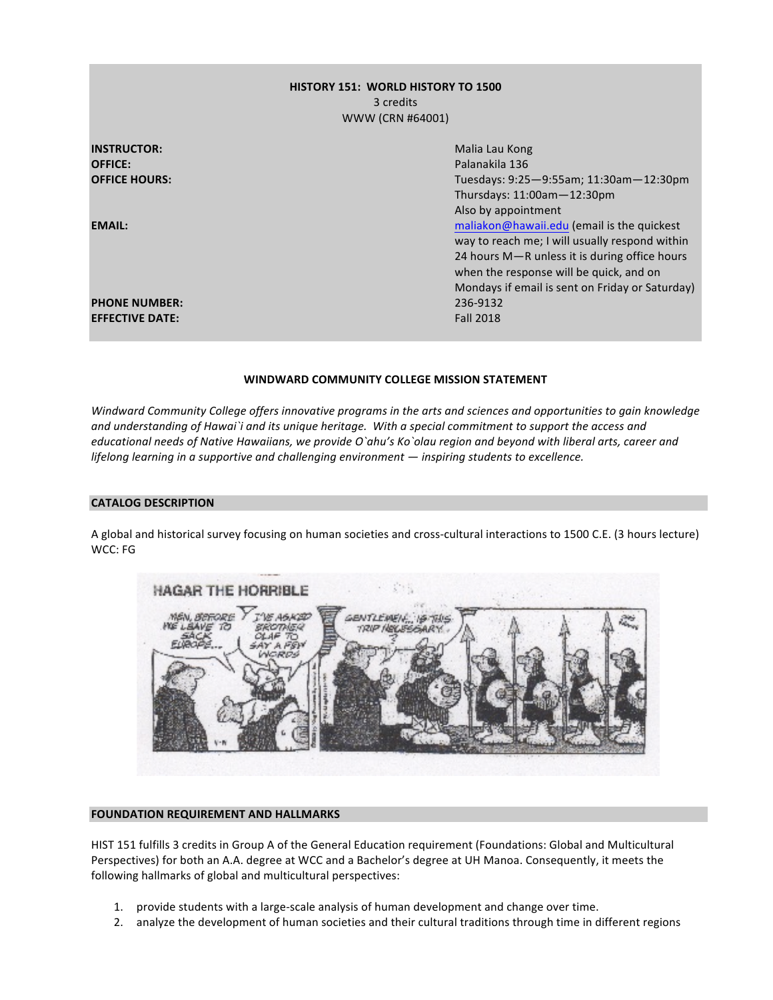# **HISTORY 151: WORLD HISTORY TO 1500** 3 credits WWW (CRN #64001)

| <b>INSTRUCTOR:</b>     | Malia Lau Kong                                  |  |
|------------------------|-------------------------------------------------|--|
| <b>OFFICE:</b>         | Palanakila 136                                  |  |
| <b>OFFICE HOURS:</b>   | Tuesdays: 9:25-9:55am; 11:30am-12:30pm          |  |
|                        | Thursdays: $11:00$ am $-12:30$ pm               |  |
|                        | Also by appointment                             |  |
| <b>EMAIL:</b>          | maliakon@hawaii.edu (email is the quickest      |  |
|                        | way to reach me; I will usually respond within  |  |
|                        | 24 hours M-R unless it is during office hours   |  |
|                        | when the response will be quick, and on         |  |
|                        | Mondays if email is sent on Friday or Saturday) |  |
| <b>PHONE NUMBER:</b>   | 236-9132                                        |  |
| <b>EFFECTIVE DATE:</b> | <b>Fall 2018</b>                                |  |

# WINDWARD COMMUNITY COLLEGE MISSION STATEMENT

*Windward Community College offers innovative programs in the arts and sciences and opportunities to gain knowledge* and understanding of Hawai`i and its unique heritage. With a special commitment to support the access and educational needs of Native Hawaiians, we provide O`ahu's Ko`olau region and beyond with liberal arts, career and *lifelong learning in a supportive and challenging environment* — *inspiring students to excellence.* 

# **CATALOG DESCRIPTION**

A global and historical survey focusing on human societies and cross-cultural interactions to 1500 C.E. (3 hours lecture) WCC: FG



# **FOUNDATION REQUIREMENT AND HALLMARKS**

HIST 151 fulfills 3 credits in Group A of the General Education requirement (Foundations: Global and Multicultural Perspectives) for both an A.A. degree at WCC and a Bachelor's degree at UH Manoa. Consequently, it meets the following hallmarks of global and multicultural perspectives:

- 1. provide students with a large-scale analysis of human development and change over time.
- 2. analyze the development of human societies and their cultural traditions through time in different regions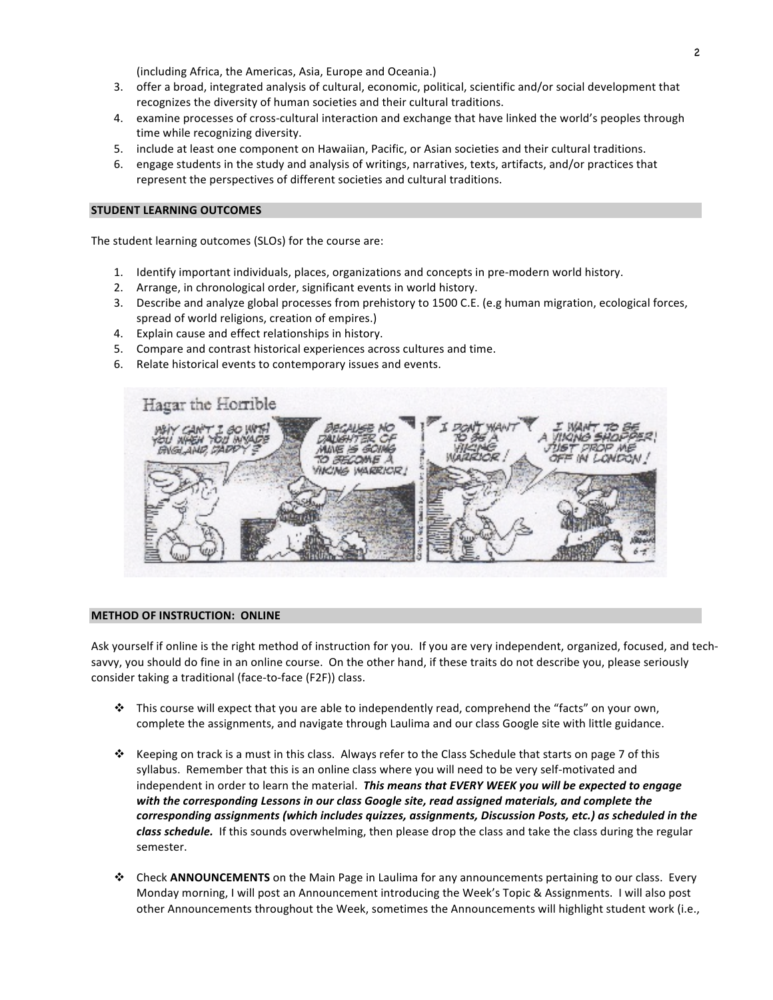(including Africa, the Americas, Asia, Europe and Oceania.)

- 3. offer a broad, integrated analysis of cultural, economic, political, scientific and/or social development that recognizes the diversity of human societies and their cultural traditions.
- 4. examine processes of cross-cultural interaction and exchange that have linked the world's peoples through time while recognizing diversity.
- 5. include at least one component on Hawaiian, Pacific, or Asian societies and their cultural traditions.
- 6. engage students in the study and analysis of writings, narratives, texts, artifacts, and/or practices that represent the perspectives of different societies and cultural traditions.

#### **STUDENT LEARNING OUTCOMES**

The student learning outcomes (SLOs) for the course are:

- 1. Identify important individuals, places, organizations and concepts in pre-modern world history.
- 2. Arrange, in chronological order, significant events in world history.
- 3. Describe and analyze global processes from prehistory to 1500 C.E. (e.g human migration, ecological forces, spread of world religions, creation of empires.)
- 4. Explain cause and effect relationships in history.
- 5. Compare and contrast historical experiences across cultures and time.
- 6. Relate historical events to contemporary issues and events.



#### **METHOD OF INSTRUCTION: ONLINE**

Ask yourself if online is the right method of instruction for you. If you are very independent, organized, focused, and techsavvy, you should do fine in an online course. On the other hand, if these traits do not describe you, please seriously consider taking a traditional (face-to-face (F2F)) class.

- ❖ This course will expect that you are able to independently read, comprehend the "facts" on your own, complete the assignments, and navigate through Laulima and our class Google site with little guidance.
- $\dots$  Keeping on track is a must in this class. Always refer to the Class Schedule that starts on page 7 of this syllabus. Remember that this is an online class where you will need to be very self-motivated and independent in order to learn the material. This means that EVERY WEEK you will be expected to engage with the corresponding Lessons in our class Google site, read assigned materials, and complete the *corresponding assignments (which includes quizzes, assignments, Discussion Posts, etc.) as scheduled in the*  class schedule. If this sounds overwhelming, then please drop the class and take the class during the regular semester.
- **↑** Check **ANNOUNCEMENTS** on the Main Page in Laulima for any announcements pertaining to our class. Every Monday morning, I will post an Announcement introducing the Week's Topic & Assignments. I will also post other Announcements throughout the Week, sometimes the Announcements will highlight student work (i.e.,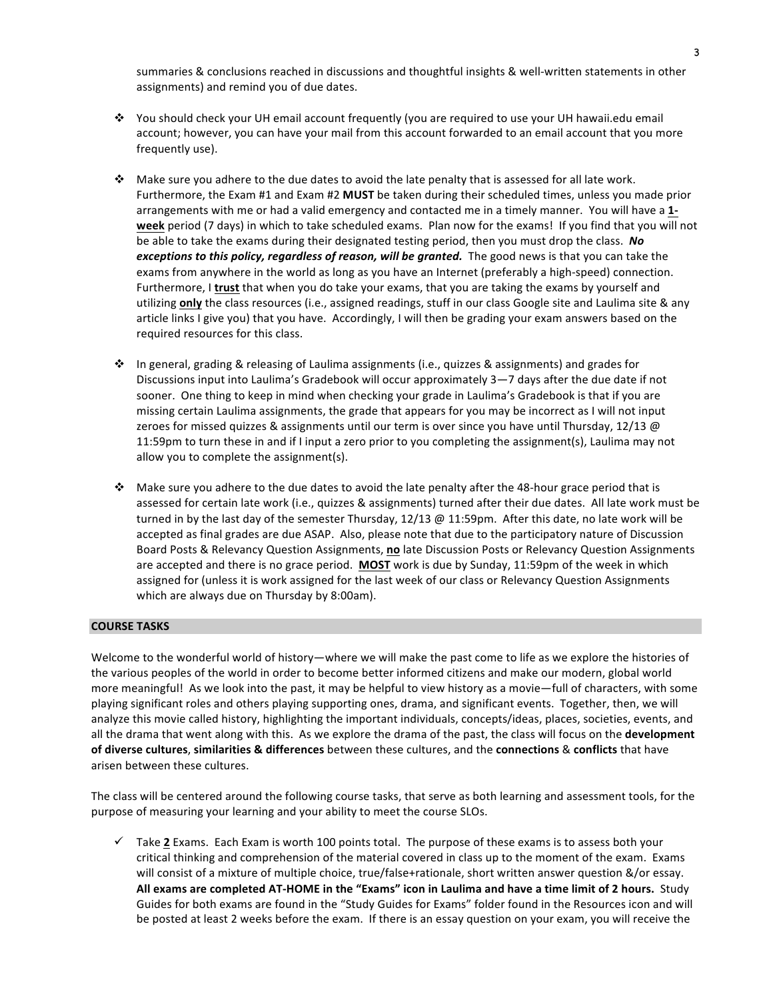summaries & conclusions reached in discussions and thoughtful insights & well-written statements in other assignments) and remind you of due dates.

- \* You should check your UH email account frequently (you are required to use your UH hawaii.edu email account; however, you can have your mail from this account forwarded to an email account that you more frequently use).
- $\cdot$  Make sure you adhere to the due dates to avoid the late penalty that is assessed for all late work. Furthermore, the Exam #1 and Exam #2 MUST be taken during their scheduled times, unless you made prior arrangements with me or had a valid emergency and contacted me in a timely manner. You will have a 1**week** period (7 days) in which to take scheduled exams. Plan now for the exams! If you find that you will not be able to take the exams during their designated testing period, then you must drop the class. No exceptions to this policy, regardless of reason, will be granted. The good news is that you can take the exams from anywhere in the world as long as you have an Internet (preferably a high-speed) connection. Furthermore, I trust that when you do take your exams, that you are taking the exams by yourself and utilizing **only** the class resources (i.e., assigned readings, stuff in our class Google site and Laulima site & any article links I give you) that you have. Accordingly, I will then be grading your exam answers based on the required resources for this class.
- ❖ In general, grading & releasing of Laulima assignments (i.e., quizzes & assignments) and grades for Discussions input into Laulima's Gradebook will occur approximately 3-7 days after the due date if not sooner. One thing to keep in mind when checking your grade in Laulima's Gradebook is that if you are missing certain Laulima assignments, the grade that appears for you may be incorrect as I will not input zeroes for missed quizzes & assignments until our term is over since you have until Thursday, 12/13 @ 11:59pm to turn these in and if I input a zero prior to you completing the assignment(s), Laulima may not allow you to complete the assignment(s).
- $\cdot$  Make sure you adhere to the due dates to avoid the late penalty after the 48-hour grace period that is assessed for certain late work (i.e., quizzes & assignments) turned after their due dates. All late work must be turned in by the last day of the semester Thursday,  $12/13$  @  $11:59$ pm. After this date, no late work will be accepted as final grades are due ASAP. Also, please note that due to the participatory nature of Discussion Board Posts & Relevancy Question Assignments, no late Discussion Posts or Relevancy Question Assignments are accepted and there is no grace period. MOST work is due by Sunday, 11:59pm of the week in which assigned for (unless it is work assigned for the last week of our class or Relevancy Question Assignments which are always due on Thursday by 8:00am).

# **COURSE TASKS**

Welcome to the wonderful world of history—where we will make the past come to life as we explore the histories of the various peoples of the world in order to become better informed citizens and make our modern, global world more meaningful! As we look into the past, it may be helpful to view history as a movie—full of characters, with some playing significant roles and others playing supporting ones, drama, and significant events. Together, then, we will analyze this movie called history, highlighting the important individuals, concepts/ideas, places, societies, events, and all the drama that went along with this. As we explore the drama of the past, the class will focus on the **development of diverse cultures, similarities & differences** between these cultures, and the **connections** & conflicts that have arisen between these cultures.

The class will be centered around the following course tasks, that serve as both learning and assessment tools, for the purpose of measuring your learning and your ability to meet the course SLOs.

 $\checkmark$  Take 2 Exams. Each Exam is worth 100 points total. The purpose of these exams is to assess both your critical thinking and comprehension of the material covered in class up to the moment of the exam. Exams will consist of a mixture of multiple choice, true/false+rationale, short written answer question &/or essay. All exams are completed AT-HOME in the "Exams" icon in Laulima and have a time limit of 2 hours. Study Guides for both exams are found in the "Study Guides for Exams" folder found in the Resources icon and will be posted at least 2 weeks before the exam. If there is an essay question on your exam, you will receive the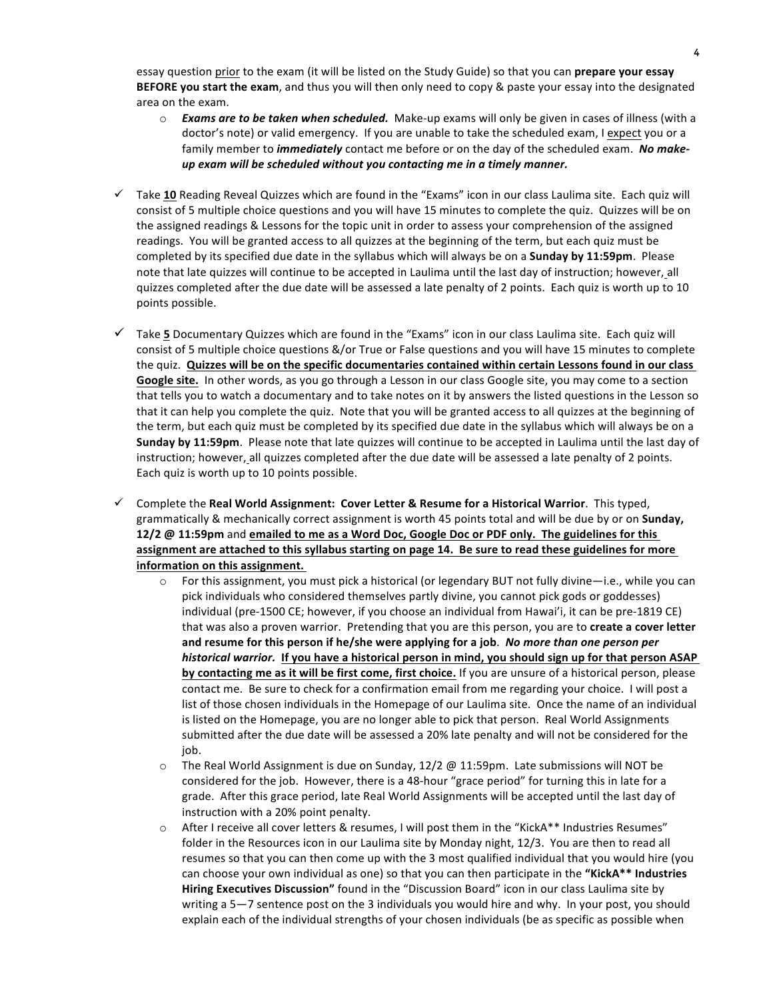essay question prior to the exam (it will be listed on the Study Guide) so that you can **prepare your essay BEFORE you start the exam**, and thus you will then only need to copy & paste your essay into the designated area on the exam.

- $\circ$  **Exams are to be taken when scheduled.** Make-up exams will only be given in cases of illness (with a doctor's note) or valid emergency. If you are unable to take the scheduled exam, I expect you or a family member to *immediately* contact me before or on the day of the scheduled exam. No make*up* exam will be scheduled without you contacting me in a timely manner.
- $\checkmark$  Take 10 Reading Reveal Quizzes which are found in the "Exams" icon in our class Laulima site. Each quiz will consist of 5 multiple choice questions and you will have 15 minutes to complete the quiz. Quizzes will be on the assigned readings & Lessons for the topic unit in order to assess your comprehension of the assigned readings. You will be granted access to all quizzes at the beginning of the term, but each quiz must be completed by its specified due date in the syllabus which will always be on a **Sunday by 11:59pm**. Please note that late quizzes will continue to be accepted in Laulima until the last day of instruction; however, all quizzes completed after the due date will be assessed a late penalty of 2 points. Each quiz is worth up to 10 points possible.
- $\checkmark$  Take 5 Documentary Quizzes which are found in the "Exams" icon in our class Laulima site. Each quiz will consist of 5 multiple choice questions &/or True or False questions and you will have 15 minutes to complete the quiz. Quizzes will be on the specific documentaries contained within certain Lessons found in our class Google site. In other words, as you go through a Lesson in our class Google site, you may come to a section that tells you to watch a documentary and to take notes on it by answers the listed questions in the Lesson so that it can help you complete the quiz. Note that you will be granted access to all quizzes at the beginning of the term, but each quiz must be completed by its specified due date in the syllabus which will always be on a **Sunday by 11:59pm**. Please note that late quizzes will continue to be accepted in Laulima until the last day of instruction; however, all quizzes completed after the due date will be assessed a late penalty of 2 points. Each quiz is worth up to 10 points possible.
- $\checkmark$  Complete the **Real World Assignment: Cover Letter & Resume for a Historical Warrior**. This typed, grammatically & mechanically correct assignment is worth 45 points total and will be due by or on **Sunday, 12/2** @ 11:59pm and emailed to me as a Word Doc, Google Doc or PDF only. The guidelines for this **assignment are attached to this syllabus starting on page 14. Be sure to read these guidelines for more information on this assignment.** 
	- $\circ$  For this assignment, you must pick a historical (or legendary BUT not fully divine—i.e., while you can pick individuals who considered themselves partly divine, you cannot pick gods or goddesses) individual (pre-1500 CE; however, if you choose an individual from Hawai'i, it can be pre-1819 CE) that was also a proven warrior. Pretending that you are this person, you are to create a cover letter and resume for this person if he/she were applying for a job. No more than one person per *historical warrior.* If you have a historical person in mind, you should sign up for that person ASAP by contacting me as it will be first come, first choice. If you are unsure of a historical person, please contact me. Be sure to check for a confirmation email from me regarding your choice. I will post a list of those chosen individuals in the Homepage of our Laulima site. Once the name of an individual is listed on the Homepage, you are no longer able to pick that person. Real World Assignments submitted after the due date will be assessed a 20% late penalty and will not be considered for the job.
	- $\circ$  The Real World Assignment is due on Sunday, 12/2 @ 11:59pm. Late submissions will NOT be considered for the job. However, there is a 48-hour "grace period" for turning this in late for a grade. After this grace period, late Real World Assignments will be accepted until the last day of instruction with a 20% point penalty.
	- $\circ$  After I receive all cover letters & resumes, I will post them in the "KickA\*\* Industries Resumes" folder in the Resources icon in our Laulima site by Monday night, 12/3. You are then to read all resumes so that you can then come up with the 3 most qualified individual that you would hire (you can choose your own individual as one) so that you can then participate in the "KickA\*\* Industries **Hiring Executives Discussion"** found in the "Discussion Board" icon in our class Laulima site by writing a 5-7 sentence post on the 3 individuals you would hire and why. In your post, you should explain each of the individual strengths of your chosen individuals (be as specific as possible when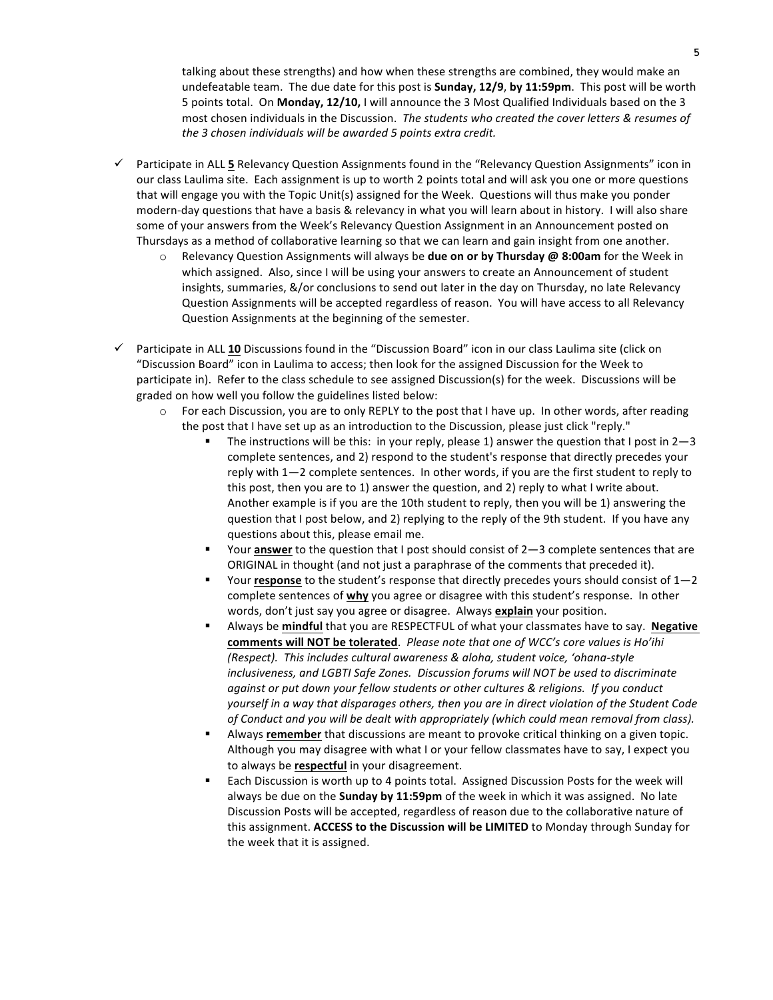talking about these strengths) and how when these strengths are combined, they would make an undefeatable team. The due date for this post is **Sunday, 12/9**, by 11:59pm. This post will be worth 5 points total. On Monday, 12/10, I will announce the 3 Most Qualified Individuals based on the 3 most chosen individuals in the Discussion. The students who created the cover letters & resumes of the 3 chosen individuals will be awarded 5 points extra credit.

- $\checkmark$  Participate in ALL 5 Relevancy Question Assignments found in the "Relevancy Question Assignments" icon in our class Laulima site. Each assignment is up to worth 2 points total and will ask you one or more questions that will engage you with the Topic Unit(s) assigned for the Week. Questions will thus make you ponder modern-day questions that have a basis & relevancy in what you will learn about in history. I will also share some of your answers from the Week's Relevancy Question Assignment in an Announcement posted on Thursdays as a method of collaborative learning so that we can learn and gain insight from one another.
	- o Relevancy Question Assignments will always be **due on or by Thursday @ 8:00am** for the Week in which assigned. Also, since I will be using your answers to create an Announcement of student insights, summaries, &/or conclusions to send out later in the day on Thursday, no late Relevancy Question Assignments will be accepted regardless of reason. You will have access to all Relevancy Question Assignments at the beginning of the semester.
- $\checkmark$  Participate in ALL 10 Discussions found in the "Discussion Board" icon in our class Laulima site (click on "Discussion Board" icon in Laulima to access; then look for the assigned Discussion for the Week to participate in). Refer to the class schedule to see assigned Discussion(s) for the week. Discussions will be graded on how well you follow the guidelines listed below:
	- For each Discussion, you are to only REPLY to the post that I have up. In other words, after reading the post that I have set up as an introduction to the Discussion, please just click "reply."
		- The instructions will be this: in your reply, please 1) answer the question that I post in  $2-3$ complete sentences, and 2) respond to the student's response that directly precedes your reply with  $1-2$  complete sentences. In other words, if you are the first student to reply to this post, then you are to 1) answer the question, and 2) reply to what I write about. Another example is if you are the 10th student to reply, then you will be 1) answering the question that I post below, and 2) replying to the reply of the 9th student. If you have any questions about this, please email me.
		- Your **answer** to the question that I post should consist of 2-3 complete sentences that are ORIGINAL in thought (and not just a paraphrase of the comments that preceded it).
		- Your **response** to the student's response that directly precedes yours should consist of  $1-2$ complete sentences of why you agree or disagree with this student's response. In other words, don't just say you agree or disagree. Always **explain** your position.
		- Always be mindful that you are RESPECTFUL of what your classmates have to say. Negative comments will NOT be tolerated. Please note that one of WCC's core values is Ho'ihi *(Respect). This includes cultural awareness & aloha, student voice, 'ohana-style inclusiveness, and LGBTI Safe Zones. Discussion forums will NOT be used to discriminate against or put down your fellow students or other cultures & religions. If you conduct* yourself in a way that disparages others, then you are in direct violation of the Student Code *of* Conduct and you will be dealt with appropriately (which could mean removal from class).
		- Always **remember** that discussions are meant to provoke critical thinking on a given topic. Although you may disagree with what I or your fellow classmates have to say, I expect you to always be **respectful** in your disagreement.
		- Each Discussion is worth up to 4 points total. Assigned Discussion Posts for the week will always be due on the **Sunday by 11:59pm** of the week in which it was assigned. No late Discussion Posts will be accepted, regardless of reason due to the collaborative nature of this assignment. **ACCESS to the Discussion will be LIMITED** to Monday through Sunday for the week that it is assigned.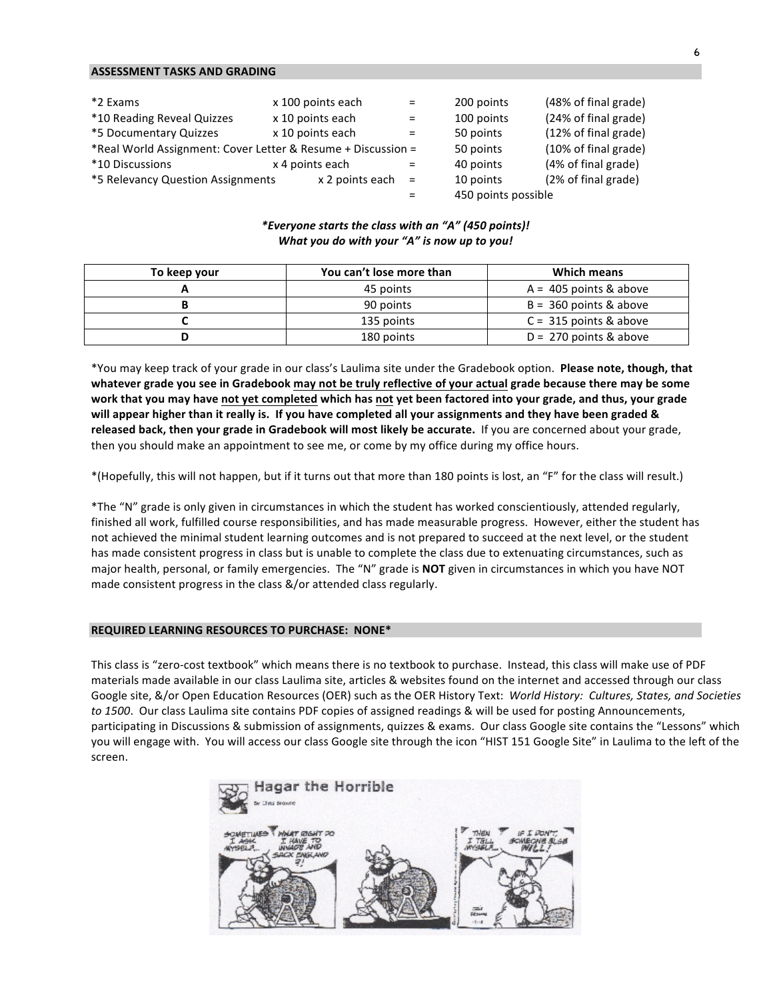#### **ASSESSMENT TASKS AND GRADING**

| *2 Exams                                                     | x 100 points each   | $=$ | 200 points          | (48% of final grade) |
|--------------------------------------------------------------|---------------------|-----|---------------------|----------------------|
| *10 Reading Reveal Quizzes                                   | x 10 points each    | $=$ | 100 points          | (24% of final grade) |
| *5 Documentary Quizzes                                       | x 10 points each    | $=$ | 50 points           | (12% of final grade) |
| *Real World Assignment: Cover Letter & Resume + Discussion = |                     |     | 50 points           | (10% of final grade) |
| *10 Discussions                                              | x 4 points each     | $=$ | 40 points           | (4% of final grade)  |
| *5 Relevancy Question Assignments                            | $x$ 2 points each = |     | 10 points           | (2% of final grade)  |
|                                                              |                     |     | 450 points possible |                      |

#### *\*Everyone starts the class with an "A" (450 points)! What you do with your "A" is now up to you!*

| To keep your | You can't lose more than | Which means              |
|--------------|--------------------------|--------------------------|
|              | 45 points                | $A = 405$ points & above |
|              | 90 points                | $B = 360$ points & above |
|              | 135 points               | $C = 315$ points & above |
|              | 180 points               | $D = 270$ points & above |

\*You may keep track of your grade in our class's Laulima site under the Gradebook option. Please note, though, that whatever grade you see in Gradebook may not be truly reflective of your actual grade because there may be some work that you may have not yet completed which has not yet been factored into your grade, and thus, your grade will appear higher than it really is. If you have completed all your assignments and they have been graded & released back, then your grade in Gradebook will most likely be accurate. If you are concerned about your grade, then you should make an appointment to see me, or come by my office during my office hours.

\*(Hopefully, this will not happen, but if it turns out that more than 180 points is lost, an "F" for the class will result.)

\*The "N" grade is only given in circumstances in which the student has worked conscientiously, attended regularly, finished all work, fulfilled course responsibilities, and has made measurable progress. However, either the student has not achieved the minimal student learning outcomes and is not prepared to succeed at the next level, or the student has made consistent progress in class but is unable to complete the class due to extenuating circumstances, such as major health, personal, or family emergencies. The "N" grade is **NOT** given in circumstances in which you have NOT made consistent progress in the class &/or attended class regularly.

#### **REQUIRED LEARNING RESOURCES TO PURCHASE: NONE\***

This class is "zero-cost textbook" which means there is no textbook to purchase. Instead, this class will make use of PDF materials made available in our class Laulima site, articles & websites found on the internet and accessed through our class Google site, &/or Open Education Resources (OER) such as the OER History Text: World History: Cultures, States, and Societies *to* 1500. Our class Laulima site contains PDF copies of assigned readings & will be used for posting Announcements, participating in Discussions & submission of assignments, quizzes & exams. Our class Google site contains the "Lessons" which you will engage with. You will access our class Google site through the icon "HIST 151 Google Site" in Laulima to the left of the screen.

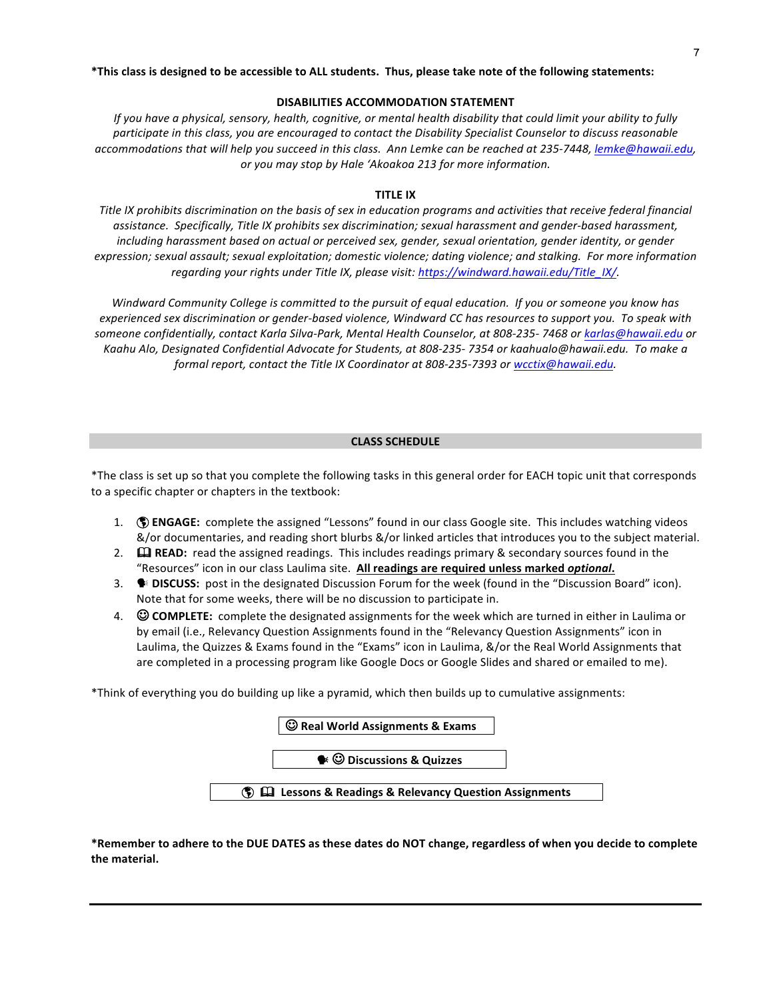#### \*This class is designed to be accessible to ALL students. Thus, please take note of the following statements:

#### **DISABILITIES ACCOMMODATION STATEMENT**

*If* you have a physical, sensory, health, cognitive, or mental health disability that could limit your ability to fully *participate in this class, you are encouraged to contact the Disability Specialist Counselor to discuss reasonable* accommodations that will help you succeed in this class. Ann Lemke can be reached at 235-7448, lemke@hawaii.edu, or you may stop by Hale 'Akoakoa 213 for more information.

# **TITLE IX**

Title IX prohibits discrimination on the basis of sex in education programs and activities that receive federal financial *assistance. Specifically, Title IX prohibits sex discrimination; sexual harassment and gender-based harassment, including harassment based on actual or perceived sex, gender, sexual orientation, gender identity, or gender* expression; sexual assault; sexual exploitation; domestic violence; dating violence; and stalking. For more information *regarding your rights under Title IX, please visit: https://windward.hawaii.edu/Title\_IX/.* 

*Windward Community College is committed to the pursuit of equal education. If you or someone you know has* experienced sex discrimination or gender-based violence, Windward CC has resources to support you. To speak with someone confidentially, contact Karla Silva-Park, Mental Health Counselor, at 808-235-7468 or karlas@hawaii.edu or *Kaahu Alo, Designated Confidential Advocate for Students, at 808-235- 7354 or kaahualo@hawaii.edu. To make a formal report, contact the Title IX Coordinator at 808-235-7393 or wcctix@hawaii.edu.* 

#### **CLASS SCHEDULE**

\*The class is set up so that you complete the following tasks in this general order for EACH topic unit that corresponds to a specific chapter or chapters in the textbook:

- 1. **(1) ENGAGE:** complete the assigned "Lessons" found in our class Google site. This includes watching videos &/or documentaries, and reading short blurbs &/or linked articles that introduces you to the subject material.
- 2.  $\Box$  **READ:** read the assigned readings. This includes readings primary & secondary sources found in the "Resources" icon in our class Laulima site. All readings are required unless marked *optional*.
- 3.  **DISCUSS:** post in the designated Discussion Forum for the week (found in the "Discussion Board" icon). Note that for some weeks, there will be no discussion to participate in.
- 4.  $\heartsuit$  **COMPLETE:** complete the designated assignments for the week which are turned in either in Laulima or by email (i.e., Relevancy Question Assignments found in the "Relevancy Question Assignments" icon in Laulima, the Quizzes & Exams found in the "Exams" icon in Laulima, &/or the Real World Assignments that are completed in a processing program like Google Docs or Google Slides and shared or emailed to me).

\*Think of everything you do building up like a pyramid, which then builds up to cumulative assignments:

\*Remember to adhere to the DUE DATES as these dates do NOT change, regardless of when you decide to complete the material.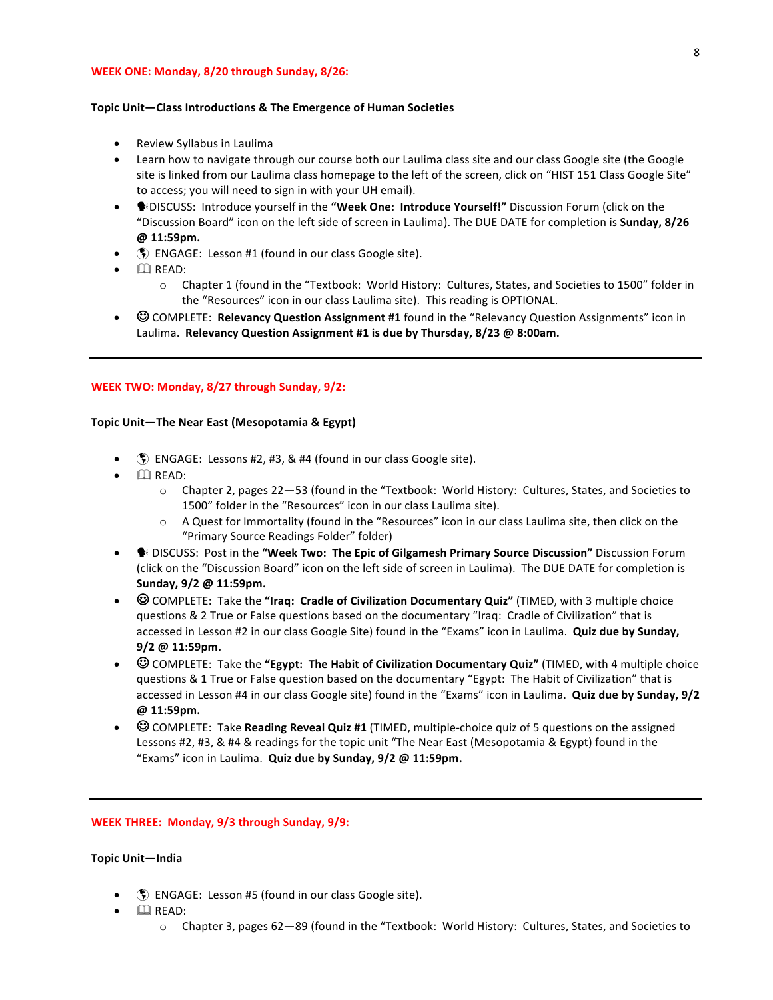#### **WEEK ONE: Monday, 8/20 through Sunday, 8/26:**

#### Topic Unit-Class Introductions & The Emergence of Human Societies

- Review Syllabus in Laulima
- Learn how to navigate through our course both our Laulima class site and our class Google site (the Google site is linked from our Laulima class homepage to the left of the screen, click on "HIST 151 Class Google Site" to access; you will need to sign in with your UH email).
- Sip DISCUSS: Introduce yourself in the "Week One: Introduce Yourself!" Discussion Forum (click on the "Discussion Board" icon on the left side of screen in Laulima). The DUE DATE for completion is Sunday, 8/26 **@ 11:59pm.**
- $\langle \hat{\xi} \rangle$  ENGAGE: Lesson #1 (found in our class Google site).
- $\bullet$   $\Box$  READ:
	- $\circ$  Chapter 1 (found in the "Textbook: World History: Cultures, States, and Societies to 1500" folder in the "Resources" icon in our class Laulima site). This reading is OPTIONAL.
- **C** COMPLETE: **Relevancy Question Assignment #1** found in the "Relevancy Question Assignments" icon in Laulima. Relevancy Question Assignment #1 is due by Thursday, 8/23 @ 8:00am.

#### **WEEK TWO: Monday, 8/27 through Sunday, 9/2:**

#### Topic Unit-The Near East (Mesopotamia & Egypt)

- $\binom{2}{3}$  ENGAGE: Lessons #2, #3, & #4 (found in our class Google site).
- $\bullet$   $\Box$  READ:
	- $\circ$  Chapter 2, pages 22—53 (found in the "Textbook: World History: Cultures, States, and Societies to 1500" folder in the "Resources" icon in our class Laulima site).
	- $\circ$  A Quest for Immortality (found in the "Resources" icon in our class Laulima site, then click on the "Primary Source Readings Folder" folder)
- **DISCUSS:** Post in the **"Week Two: The Epic of Gilgamesh Primary Source Discussion"** Discussion Forum (click on the "Discussion Board" icon on the left side of screen in Laulima). The DUE DATE for completion is **Sunday, 9/2 @ 11:59pm.**
- $\odot$  COMPLETE: Take the "**Iraq: Cradle of Civilization Documentary Quiz**" (TIMED, with 3 multiple choice questions & 2 True or False questions based on the documentary "Iraq: Cradle of Civilization" that is accessed in Lesson #2 in our class Google Site) found in the "Exams" icon in Laulima. Quiz due by Sunday, **9/2 @ 11:59pm.**
- © COMPLETE: Take the "**Egypt: The Habit of Civilization Documentary Quiz**" (TIMED, with 4 multiple choice questions & 1 True or False question based on the documentary "Egypt: The Habit of Civilization" that is accessed in Lesson #4 in our class Google site) found in the "Exams" icon in Laulima. **Quiz due by Sunday, 9/2 @ 11:59pm.**
- © COMPLETE: Take **Reading Reveal Quiz #1** (TIMED, multiple-choice quiz of 5 questions on the assigned Lessons #2, #3, & #4 & readings for the topic unit "The Near East (Mesopotamia & Egypt) found in the "Exams" icon in Laulima. Quiz due by Sunday, 9/2 @ 11:59pm.

**WEEK THREE: Monday, 9/3 through Sunday, 9/9:** 

#### **Topic Unit—India**

- **(5)** ENGAGE: Lesson #5 (found in our class Google site).
- $\Box$  READ:
	- $\circ$  Chapter 3, pages 62–89 (found in the "Textbook: World History: Cultures, States, and Societies to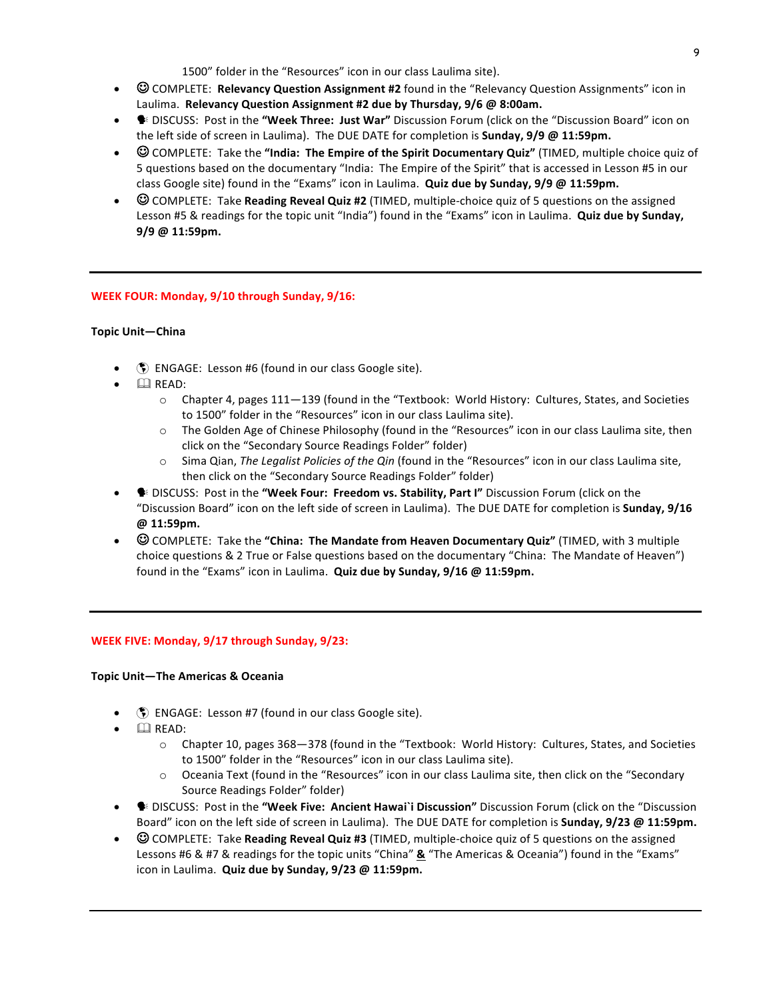1500" folder in the "Resources" icon in our class Laulima site).

- $\odot$  COMPLETE: **Relevancy Question Assignment #2** found in the "Relevancy Question Assignments" icon in Laulima. Relevancy Question Assignment #2 due by Thursday, 9/6 @ 8:00am.
- **•** DISCUSS: Post in the "Week Three: Just War" Discussion Forum (click on the "Discussion Board" icon on the left side of screen in Laulima). The DUE DATE for completion is **Sunday, 9/9 @ 11:59pm.**
- $\odot$  COMPLETE: Take the "**India: The Empire of the Spirit Documentary Quiz**" (TIMED, multiple choice quiz of 5 questions based on the documentary "India: The Empire of the Spirit" that is accessed in Lesson #5 in our class Google site) found in the "Exams" icon in Laulima. Quiz due by Sunday, 9/9 @ 11:59pm.
- $\odot$  COMPLETE: Take **Reading Reveal Quiz #2** (TIMED, multiple-choice quiz of 5 questions on the assigned Lesson #5 & readings for the topic unit "India") found in the "Exams" icon in Laulima. **Quiz due by Sunday, 9/9 @ 11:59pm.**

# **WEEK FOUR: Monday, 9/10 through Sunday, 9/16:**

# **Topic Unit—China**

- () ENGAGE: Lesson #6 (found in our class Google site).
- $\Box$  READ:
	- $\circ$  Chapter 4, pages 111–139 (found in the "Textbook: World History: Cultures, States, and Societies to 1500" folder in the "Resources" icon in our class Laulima site).
	- $\circ$  The Golden Age of Chinese Philosophy (found in the "Resources" icon in our class Laulima site, then click on the "Secondary Source Readings Folder" folder)
	- o Sima Qian, The Legalist Policies of the Qin (found in the "Resources" icon in our class Laulima site, then click on the "Secondary Source Readings Folder" folder)
- **●** DISCUSS: Post in the "Week Four: Freedom vs. Stability, Part I" Discussion Forum (click on the "Discussion Board" icon on the left side of screen in Laulima). The DUE DATE for completion is Sunday, 9/16 **@ 11:59pm.**
- © COMPLETE: Take the "China: The Mandate from Heaven Documentary Quiz" (TIMED, with 3 multiple choice questions & 2 True or False questions based on the documentary "China: The Mandate of Heaven") found in the "Exams" icon in Laulima. **Quiz due by Sunday, 9/16 @ 11:59pm.**

# **WEEK FIVE: Monday, 9/17 through Sunday, 9/23:**

#### **Topic Unit—The Americas & Oceania**

- $\binom{2}{3}$  ENGAGE: Lesson #7 (found in our class Google site).
- $\Box$  READ:
	- $\circ$  Chapter 10, pages 368-378 (found in the "Textbook: World History: Cultures, States, and Societies to 1500" folder in the "Resources" icon in our class Laulima site).
	- $\circ$  Oceania Text (found in the "Resources" icon in our class Laulima site, then click on the "Secondary Source Readings Folder" folder)
- **•** DISCUSS: Post in the "Week Five: Ancient Hawai`i Discussion" Discussion Forum (click on the "Discussion Board" icon on the left side of screen in Laulima). The DUE DATE for completion is **Sunday, 9/23** @ 11:59pm.
- **GOMPLETE:** Take **Reading Reveal Quiz #3** (TIMED, multiple-choice quiz of 5 questions on the assigned Lessons #6 & #7 & readings for the topic units "China" **&** "The Americas & Oceania") found in the "Exams" icon in Laulima. Quiz due by Sunday, 9/23 @ 11:59pm.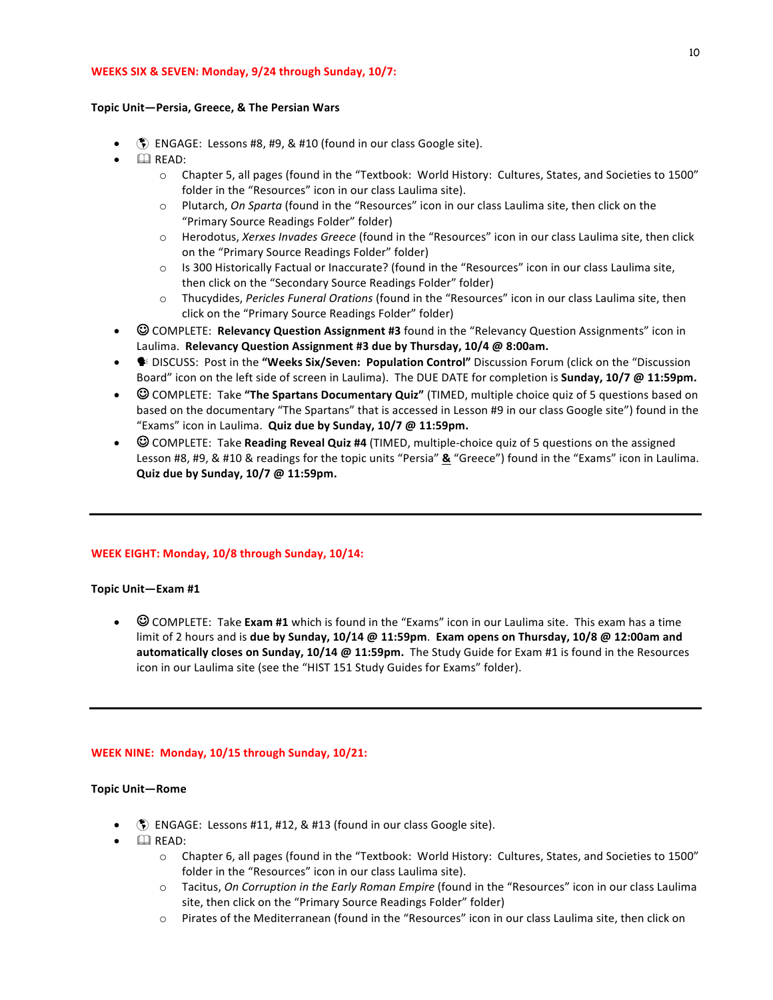#### **WEEKS SIX & SEVEN: Monday, 9/24 through Sunday, 10/7:**

#### Topic Unit-Persia, Greece, & The Persian Wars

- **(6)** ENGAGE: Lessons #8, #9, & #10 (found in our class Google site).
- $\bullet$   $\Box$  READ:
	- $\circ$  Chapter 5, all pages (found in the "Textbook: World History: Cultures, States, and Societies to 1500" folder in the "Resources" icon in our class Laulima site).
	- o Plutarch, *On Sparta* (found in the "Resources" icon in our class Laulima site, then click on the "Primary Source Readings Folder" folder)
	- o Herodotus, Xerxes Invades Greece (found in the "Resources" icon in our class Laulima site, then click on the "Primary Source Readings Folder" folder)
	- $\circ$  Is 300 Historically Factual or Inaccurate? (found in the "Resources" icon in our class Laulima site, then click on the "Secondary Source Readings Folder" folder)
	- o Thucydides, Pericles Funeral Orations (found in the "Resources" icon in our class Laulima site, then click on the "Primary Source Readings Folder" folder)
- © COMPLETE: **Relevancy Question Assignment #3** found in the "Relevancy Question Assignments" icon in Laulima. Relevancy Question Assignment #3 due by Thursday, 10/4 @ 8:00am.
- **DISCUSS: Post in the "Weeks Six/Seven: Population Control"** Discussion Forum (click on the "Discussion Board" icon on the left side of screen in Laulima). The DUE DATE for completion is **Sunday, 10/7 @ 11:59pm.**
- $\odot$  COMPLETE: Take "The Spartans Documentary Quiz" (TIMED, multiple choice quiz of 5 questions based on based on the documentary "The Spartans" that is accessed in Lesson #9 in our class Google site") found in the "Exams" icon in Laulima. **Quiz due by Sunday, 10/7 @ 11:59pm.**
- $\odot$  COMPLETE: Take **Reading Reveal Quiz #4** (TIMED, multiple-choice quiz of 5 questions on the assigned Lesson #8, #9, & #10 & readings for the topic units "Persia" **&** "Greece") found in the "Exams" icon in Laulima. **Quiz due by Sunday, 10/7 @ 11:59pm.**

#### **WEEK EIGHT: Monday, 10/8 through Sunday, 10/14:**

#### **Topic Unit—Exam #1**

•  $\odot$  COMPLETE: Take **Exam #1** which is found in the "Exams" icon in our Laulima site. This exam has a time limit of 2 hours and is due by Sunday, 10/14 @ 11:59pm. Exam opens on Thursday, 10/8 @ 12:00am and **automatically closes on Sunday, 10/14 @ 11:59pm.** The Study Guide for Exam #1 is found in the Resources icon in our Laulima site (see the "HIST 151 Study Guides for Exams" folder).

#### **WEEK NINE: Monday, 10/15 through Sunday, 10/21:**

#### **Topic Unit—Rome**

- **(5)** ENGAGE: Lessons #11, #12, & #13 (found in our class Google site).
- $\Box$  READ:
	- $\circ$  Chapter 6, all pages (found in the "Textbook: World History: Cultures, States, and Societies to 1500" folder in the "Resources" icon in our class Laulima site).
	- o Tacitus, *On Corruption in the Early Roman Empire* (found in the "Resources" icon in our class Laulima site, then click on the "Primary Source Readings Folder" folder)
	- $\circ$  Pirates of the Mediterranean (found in the "Resources" icon in our class Laulima site, then click on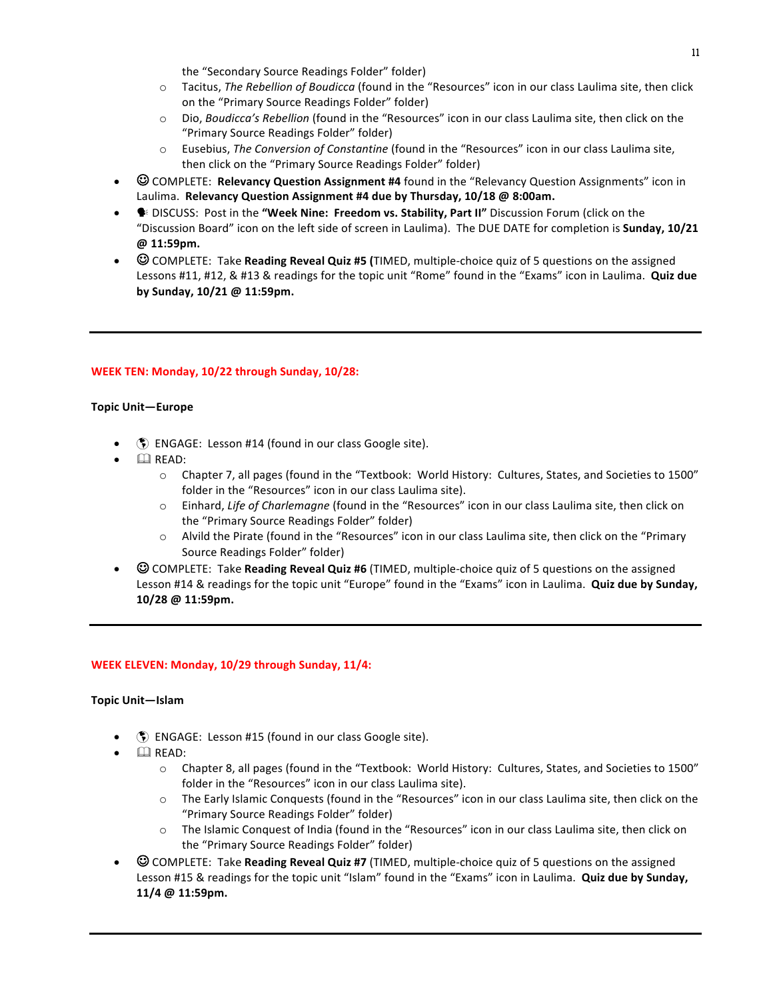the "Secondary Source Readings Folder" folder)

- o Tacitus, *The Rebellion of Boudicca* (found in the "Resources" icon in our class Laulima site, then click on the "Primary Source Readings Folder" folder)
- o Dio, Boudicca's Rebellion (found in the "Resources" icon in our class Laulima site, then click on the "Primary Source Readings Folder" folder)
- o Eusebius, *The Conversion of Constantine* (found in the "Resources" icon in our class Laulima site, then click on the "Primary Source Readings Folder" folder)
- **C** COMPLETE: **Relevancy Question Assignment #4** found in the "Relevancy Question Assignments" icon in Laulima. Relevancy Question Assignment #4 due by Thursday, 10/18 @ 8:00am.
- **DISCUSS:** Post in the "Week Nine: Freedom vs. Stability, Part II" Discussion Forum (click on the "Discussion Board" icon on the left side of screen in Laulima). The DUE DATE for completion is **Sunday, 10/21 @ 11:59pm.**
- $\odot$  COMPLETE: Take **Reading Reveal Quiz #5** (TIMED, multiple-choice quiz of 5 questions on the assigned Lessons #11, #12, & #13 & readings for the topic unit "Rome" found in the "Exams" icon in Laulima. **Quiz due by Sunday, 10/21 @ 11:59pm.**

# **WEEK TEN: Monday, 10/22 through Sunday, 10/28:**

# **Topic Unit—Europe**

- **(5)** ENGAGE: Lesson #14 (found in our class Google site).
- $\Box$  READ:
	- $\circ$  Chapter 7, all pages (found in the "Textbook: World History: Cultures, States, and Societies to 1500" folder in the "Resources" icon in our class Laulima site).
	- o Einhard, Life of Charlemagne (found in the "Resources" icon in our class Laulima site, then click on the "Primary Source Readings Folder" folder)
	- $\circ$  Alvild the Pirate (found in the "Resources" icon in our class Laulima site, then click on the "Primary Source Readings Folder" folder)
- © COMPLETE: Take **Reading Reveal Quiz #6** (TIMED, multiple-choice quiz of 5 questions on the assigned Lesson #14 & readings for the topic unit "Europe" found in the "Exams" icon in Laulima. **Quiz due by Sunday, 10/28 @ 11:59pm.**

# **WEEK ELEVEN: Monday, 10/29 through Sunday, 11/4:**

#### **Topic Unit—Islam**

- $\bullet$  ENGAGE: Lesson #15 (found in our class Google site).
- **Q** READ:
	- $\circ$  Chapter 8, all pages (found in the "Textbook: World History: Cultures, States, and Societies to 1500" folder in the "Resources" icon in our class Laulima site).
	- $\circ$  The Early Islamic Conquests (found in the "Resources" icon in our class Laulima site, then click on the "Primary Source Readings Folder" folder)
	- o The Islamic Conquest of India (found in the "Resources" icon in our class Laulima site, then click on the "Primary Source Readings Folder" folder)
- **COMPLETE:** Take **Reading Reveal Quiz #7** (TIMED, multiple-choice quiz of 5 questions on the assigned Lesson #15 & readings for the topic unit "Islam" found in the "Exams" icon in Laulima. **Quiz due by Sunday, 11/4 @ 11:59pm.**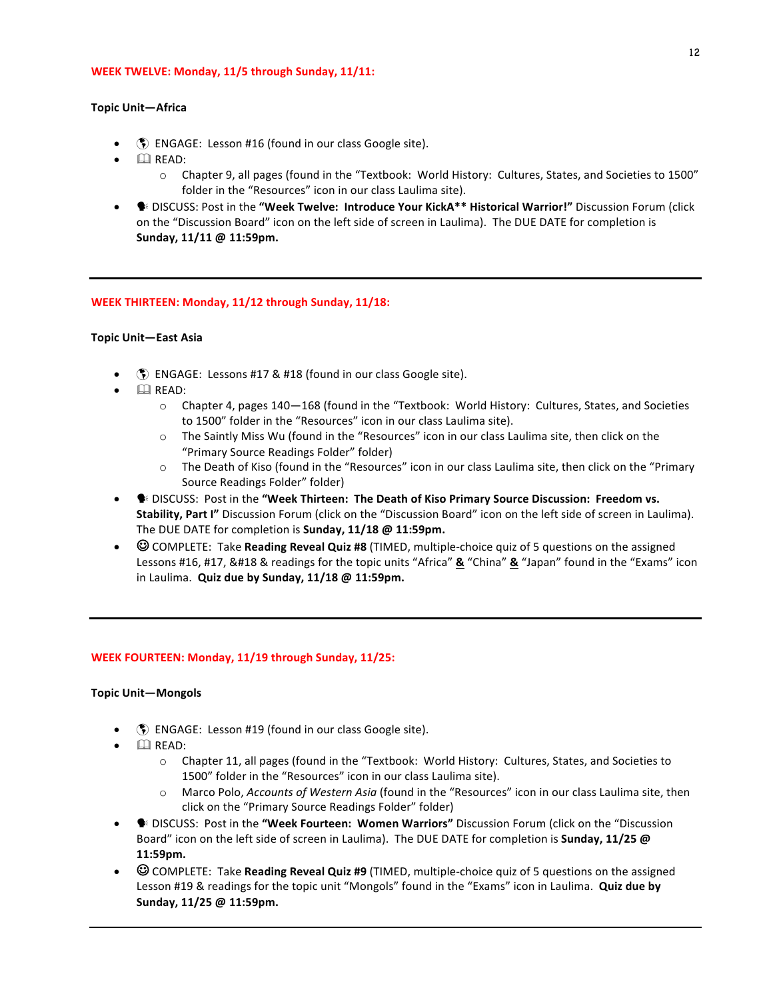#### **WEEK TWELVE: Monday, 11/5 through Sunday, 11/11:**

#### **Topic Unit—Africa**

- $\binom{2}{3}$  ENGAGE: Lesson #16 (found in our class Google site).
- $\bullet$   $\Box$  READ:
	- $\circ$  Chapter 9, all pages (found in the "Textbook: World History: Cultures, States, and Societies to 1500" folder in the "Resources" icon in our class Laulima site).
- **•** DISCUSS: Post in the "Week Twelve: Introduce Your KickA\*\* Historical Warrior!" Discussion Forum (click on the "Discussion Board" icon on the left side of screen in Laulima). The DUE DATE for completion is **Sunday, 11/11 @ 11:59pm.**

#### **WEEK THIRTEEN: Monday, 11/12 through Sunday, 11/18:**

#### **Topic Unit—East Asia**

- **(5)** ENGAGE: Lessons #17 & #18 (found in our class Google site).
- $\Box$  READ:
	- $\circ$  Chapter 4, pages 140—168 (found in the "Textbook: World History: Cultures, States, and Societies to 1500" folder in the "Resources" icon in our class Laulima site).
	- $\circ$  The Saintly Miss Wu (found in the "Resources" icon in our class Laulima site, then click on the "Primary Source Readings Folder" folder)
	- $\circ$  The Death of Kiso (found in the "Resources" icon in our class Laulima site, then click on the "Primary Source Readings Folder" folder)
- <sup>6</sup> DISCUSS: Post in the "Week Thirteen: The Death of Kiso Primary Source Discussion: Freedom vs. **Stability, Part I"** Discussion Forum (click on the "Discussion Board" icon on the left side of screen in Laulima). The DUE DATE for completion is **Sunday, 11/18 @ 11:59pm.**
- $\odot$  COMPLETE: Take **Reading Reveal Quiz #8** (TIMED, multiple-choice quiz of 5 questions on the assigned Lessons #16, #17, &#18 & readings for the topic units "Africa" **&** "China" **&** "Japan" found in the "Exams" icon in Laulima. Quiz due by Sunday, 11/18 @ 11:59pm.

#### **WEEK FOURTEEN: Monday, 11/19 through Sunday, 11/25:**

#### **Topic Unit—Mongols**

- **(5)** ENGAGE: Lesson #19 (found in our class Google site).
- $\bullet$   $\Box$  READ:
	- $\circ$  Chapter 11, all pages (found in the "Textbook: World History: Cultures, States, and Societies to 1500" folder in the "Resources" icon in our class Laulima site).
	- o Marco Polo, *Accounts of Western Asia* (found in the "Resources" icon in our class Laulima site, then click on the "Primary Source Readings Folder" folder)
- **E** DISCUSS: Post in the "Week Fourteen: Women Warriors" Discussion Forum (click on the "Discussion Board" icon on the left side of screen in Laulima). The DUE DATE for completion is **Sunday, 11/25** @ **11:59pm.**
- © COMPLETE: Take **Reading Reveal Quiz #9** (TIMED, multiple-choice quiz of 5 questions on the assigned Lesson #19 & readings for the topic unit "Mongols" found in the "Exams" icon in Laulima. **Quiz due by Sunday, 11/25 @ 11:59pm.**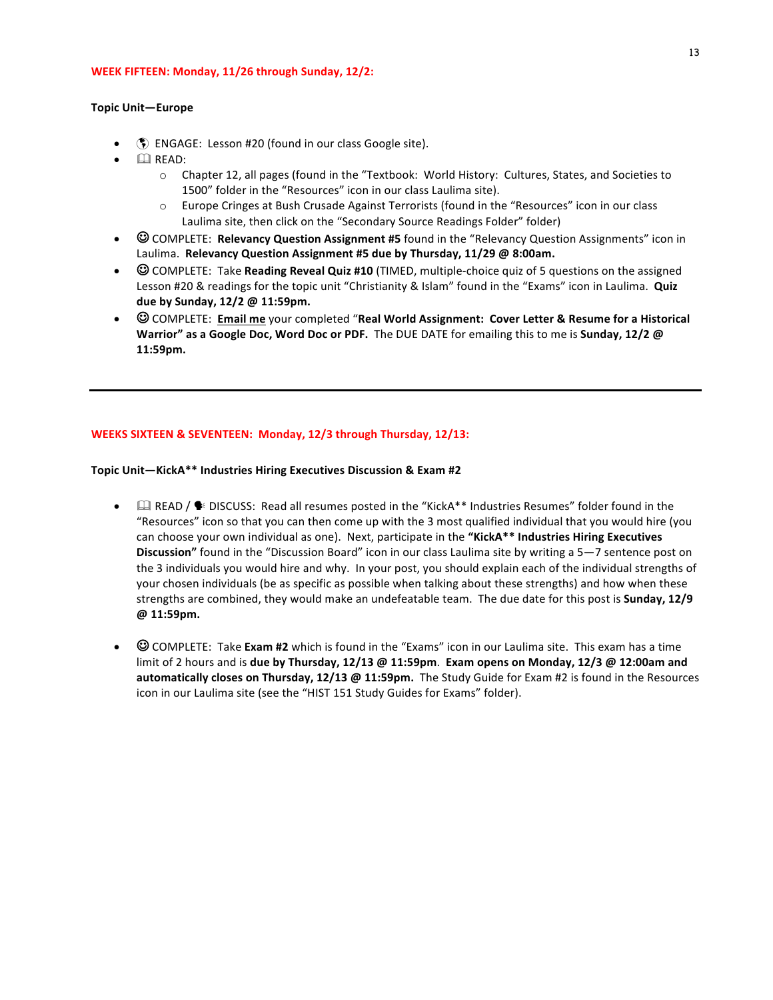#### **WEEK FIFTEEN: Monday, 11/26 through Sunday, 12/2:**

#### **Topic Unit—Europe**

- **(5)** ENGAGE: Lesson #20 (found in our class Google site).
- $\bullet$   $\Box$  READ:
	- $\circ$  Chapter 12, all pages (found in the "Textbook: World History: Cultures, States, and Societies to 1500" folder in the "Resources" icon in our class Laulima site).
	- $\circ$  Europe Cringes at Bush Crusade Against Terrorists (found in the "Resources" icon in our class Laulima site, then click on the "Secondary Source Readings Folder" folder)
- $\odot$  COMPLETE: **Relevancy Question Assignment #5** found in the "Relevancy Question Assignments" icon in Laulima. Relevancy Question Assignment #5 due by Thursday, 11/29 @ 8:00am.
- © COMPLETE: Take **Reading Reveal Quiz #10** (TIMED, multiple-choice quiz of 5 questions on the assigned Lesson #20 & readings for the topic unit "Christianity & Islam" found in the "Exams" icon in Laulima. Quiz **due by Sunday, 12/2 @ 11:59pm.**
- $\odot$  COMPLETE: Email me your completed "Real World Assignment: Cover Letter & Resume for a Historical **Warrior"** as a Google Doc, Word Doc or PDF. The DUE DATE for emailing this to me is Sunday, 12/2 @ **11:59pm.**

# **WEEKS SIXTEEN & SEVENTEEN: Monday, 12/3 through Thursday, 12/13:**

### Topic Unit-KickA\*\* Industries Hiring Executives Discussion & Exam #2

- $\Box$  READ /  $\blacklozenge$  DISCUSS: Read all resumes posted in the "KickA\*\* Industries Resumes" folder found in the "Resources" icon so that you can then come up with the 3 most qualified individual that you would hire (you can choose your own individual as one). Next, participate in the "KickA\*\* Industries Hiring Executives **Discussion"** found in the "Discussion Board" icon in our class Laulima site by writing a 5–7 sentence post on the 3 individuals you would hire and why. In your post, you should explain each of the individual strengths of your chosen individuals (be as specific as possible when talking about these strengths) and how when these strengths are combined, they would make an undefeatable team. The due date for this post is **Sunday, 12/9 @ 11:59pm.**
- $\odot$  COMPLETE: Take **Exam #2** which is found in the "Exams" icon in our Laulima site. This exam has a time limit of 2 hours and is **due by Thursday, 12/13** @ 11:59pm. Exam opens on Monday, 12/3 @ 12:00am and automatically closes on Thursday, 12/13 @ 11:59pm. The Study Guide for Exam #2 is found in the Resources icon in our Laulima site (see the "HIST 151 Study Guides for Exams" folder).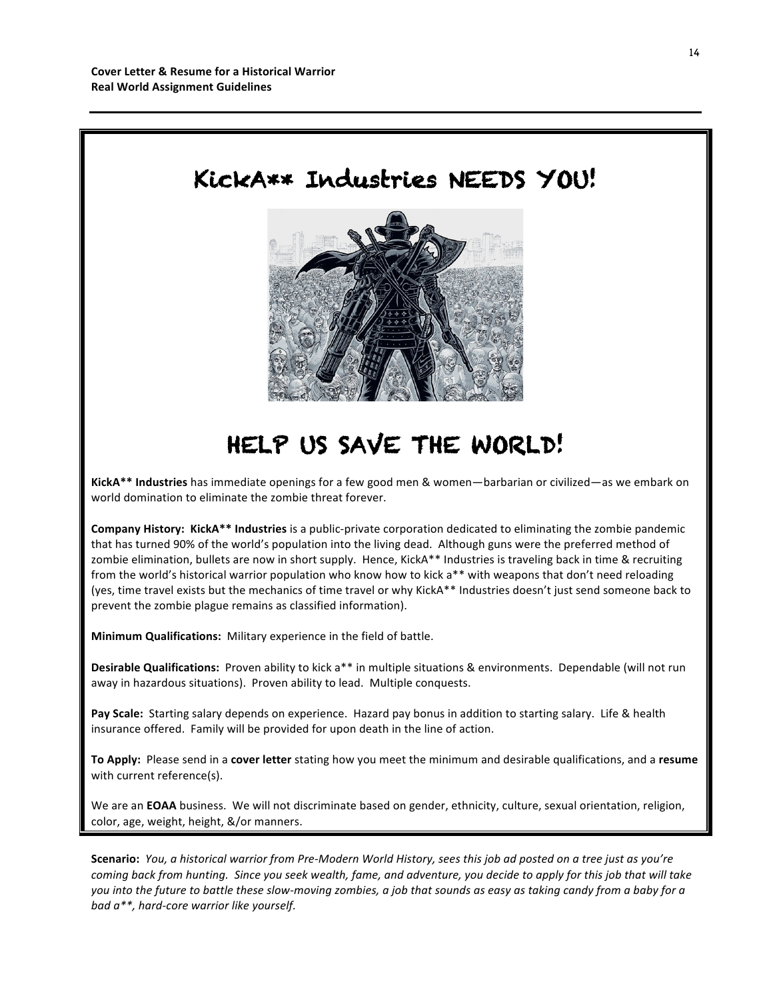

# HELP US SAVE THE WORLD!

**KickA\*\* Industries** has immediate openings for a few good men & women—barbarian or civilized—as we embark on world domination to eliminate the zombie threat forever.

**Company History: KickA\*\* Industries** is a public-private corporation dedicated to eliminating the zombie pandemic that has turned 90% of the world's population into the living dead. Although guns were the preferred method of zombie elimination, bullets are now in short supply. Hence, KickA\*\* Industries is traveling back in time & recruiting from the world's historical warrior population who know how to kick a\*\* with weapons that don't need reloading (yes, time travel exists but the mechanics of time travel or why KickA\*\* Industries doesn't just send someone back to prevent the zombie plague remains as classified information).

**Minimum Qualifications:** Military experience in the field of battle.

**Desirable Qualifications:** Proven ability to kick a<sup>\*\*</sup> in multiple situations & environments. Dependable (will not run away in hazardous situations). Proven ability to lead. Multiple conquests.

Pay Scale: Starting salary depends on experience. Hazard pay bonus in addition to starting salary. Life & health insurance offered. Family will be provided for upon death in the line of action.

To Apply: Please send in a cover letter stating how you meet the minimum and desirable qualifications, and a resume with current reference(s).

We are an **EOAA** business. We will not discriminate based on gender, ethnicity, culture, sexual orientation, religion, color, age, weight, height, &/or manners.

Scenario: You, a historical warrior from Pre-Modern World History, sees this job ad posted on a tree just as you're *coming back from hunting.* Since you seek wealth, fame, and adventure, you decide to apply for this job that will take you into the future to battle these slow-moving zombies, a job that sounds as easy as taking candy from a baby for a *bad*  $a^{**}$ , hard-core warrior like yourself.